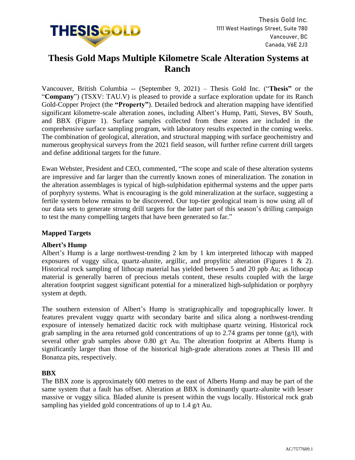

# **Thesis Gold Maps Multiple Kilometre Scale Alteration Systems at Ranch**

Vancouver, British Columbia -- (September 9, 2021) – Thesis Gold Inc. ("**Thesis"** or the "**Company**") (TSXV: TAU.V) is pleased to provide a surface exploration update for its Ranch Gold-Copper Project (the **"Property"**). Detailed bedrock and alteration mapping have identified significant kilometre-scale alteration zones, including Albert's Hump, Patti, Steves, BV South, and BBX (Figure 1). Surface samples collected from these zones are included in the comprehensive surface sampling program, with laboratory results expected in the coming weeks. The combination of geological, alteration, and structural mapping with surface geochemistry and numerous geophysical surveys from the 2021 field season, will further refine current drill targets and define additional targets for the future.

Ewan Webster, President and CEO, commented, "The scope and scale of these alteration systems are impressive and far larger than the currently known zones of mineralization. The zonation in the alteration assemblages is typical of high-sulphidation epithermal systems and the upper parts of porphyry systems. What is encouraging is the gold mineralization at the surface, suggesting a fertile system below remains to be discovered. Our top-tier geological team is now using all of our data sets to generate strong drill targets for the latter part of this season's drilling campaign to test the many compelling targets that have been generated so far."

# **Mapped Targets**

# **Albert's Hump**

Albert's Hump is a large northwest-trending 2 km by 1 km interpreted lithocap with mapped exposures of vuggy silica, quartz-alunite, argillic, and propylitic alteration (Figures 1 & 2). Historical rock sampling of lithocap material has yielded between 5 and 20 ppb Au; as lithocap material is generally barren of precious metals content, these results coupled with the large alteration footprint suggest significant potential for a mineralized high-sulphidation or porphyry system at depth.

The southern extension of Albert's Hump is stratigraphically and topographically lower. It features prevalent vuggy quartz with secondary barite and silica along a northwest-trending exposure of intensely hematized dacitic rock with multiphase quartz veining. Historical rock grab sampling in the area returned gold concentrations of up to 2.74 grams per tonne  $(g/t)$ , with several other grab samples above 0.80 g/t Au. The alteration footprint at Alberts Hump is significantly larger than those of the historical high-grade alterations zones at Thesis III and Bonanza pits, respectively.

# **BBX**

The BBX zone is approximately 600 metres to the east of Alberts Hump and may be part of the same system that a fault has offset. Alteration at BBX is dominantly quartz-alunite with lesser massive or vuggy silica. Bladed alunite is present within the vugs locally. Historical rock grab sampling has yielded gold concentrations of up to 1.4 g/t Au.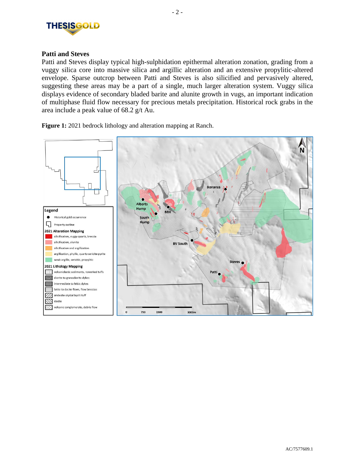

# **Patti and Steves**

Patti and Steves display typical high-sulphidation epithermal alteration zonation, grading from a vuggy silica core into massive silica and argillic alteration and an extensive propylitic-altered envelope. Sparse outcrop between Patti and Steves is also silicified and pervasively altered, suggesting these areas may be a part of a single, much larger alteration system. Vuggy silica displays evidence of secondary bladed barite and alunite growth in vugs, an important indication of multiphase fluid flow necessary for precious metals precipitation. Historical rock grabs in the area include a peak value of 68.2 g/t Au.



**Figure 1:** 2021 bedrock lithology and alteration mapping at Ranch.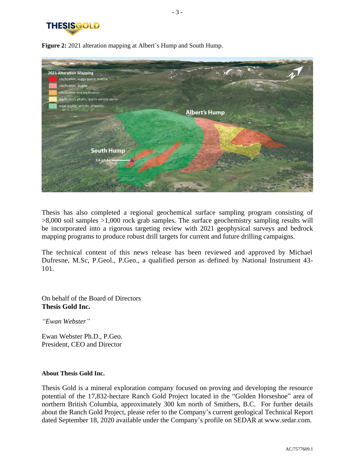



**Figure 2:** 2021 alteration mapping at Albert's Hump and South Hump.

Thesis has also completed a regional geochemical surface sampling program consisting of >8,000 soil samples >1,000 rock grab samples. The surface geochemistry sampling results will be incorporated into a rigorous targeting review with 2021 geophysical surveys and bedrock mapping programs to produce robust drill targets for current and future drilling campaigns.

The technical content of this news release has been reviewed and approved by Michael Dufresne, M.Sc, P.Geol., P.Geo., a qualified person as defined by National Instrument 43- 101.

On behalf of the Board of Directors **Thesis Gold Inc.**

*"Ewan Webster"*

Ewan Webster Ph.D., P.Geo. President, CEO and Director

#### **About Thesis Gold Inc.**

Thesis Gold is a mineral exploration company focused on proving and developing the resource potential of the 17,832-hectare Ranch Gold Project located in the "Golden Horseshoe" area of northern British Columbia, approximately 300 km north of Smithers, B.C. For further details about the Ranch Gold Project, please refer to the Company's current geological Technical Report dated September 18, 2020 available under the Company's profile on SEDAR at www.sedar.com.